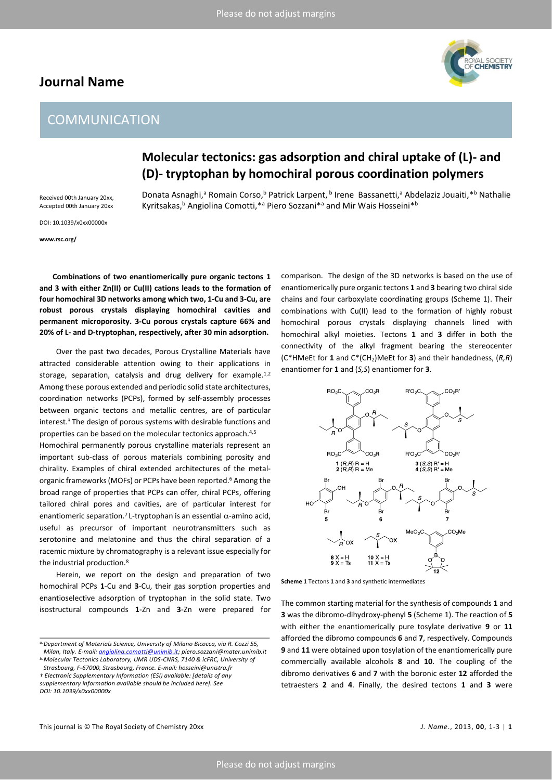## **Journal Name**

# **COMMUNICATION**



# **Molecular tectonics: gas adsorption and chiral uptake of (L)- and (D)- tryptophan by homochiral porous coordination polymers**

Donata Asnaghi,<sup>a</sup> Romain Corso,<sup>b</sup> Patrick Larpent, <sup>b</sup> Irene Bassanetti,<sup>a</sup> Abdelaziz Jouaiti, \*<sup>b</sup> Nathalie Kyritsakas,<sup>b</sup> Angiolina Comotti,<sup>\*a</sup> Piero Sozzani<sup>\*a</sup> and Mir Wais Hosseini<sup>\*b</sup>

Accepted 00th January 20xx DOI: 10.1039/x0xx00000x

Received 00th January 20xx,

**www.rsc.org/**

**Combinations of two enantiomerically pure organic tectons 1 and 3 with either Zn(II) or Cu(II) cations leads to the formation of four homochiral 3D networks among which two, 1-Cu and 3-Cu, are robust porous crystals displaying homochiral cavities and permanent microporosity. 3-Cu porous crystals capture 66% and 20% of L- and D-tryptophan, respectively, after 30 min adsorption.**

Over the past two decades, Porous Crystalline Materials have attracted considerable attention owing to their applications in storage, separation, catalysis and drug delivery for example.<sup>1,2</sup> Among these porous extended and periodic solid state architectures, coordination networks (PCPs), formed by self-assembly processes between organic tectons and metallic centres, are of particular interest. <sup>3</sup> The design of porous systems with desirable functions and properties can be based on the molecular tectonics approach. 4,5

Homochiral permanently porous crystalline materials represent an important sub-class of porous materials combining porosity and chirality. Examples of chiral extended architectures of the metalorganic frameworks(MOFs) or PCPs have been reported. <sup>6</sup> Among the broad range of properties that PCPs can offer, chiral PCPs, offering tailored chiral pores and cavities, are of particular interest for enantiomeric separation.<sup>7</sup> L-tryptophan is an essential  $\alpha$ -amino acid, useful as precursor of important neurotransmitters such as serotonine and melatonine and thus the chiral separation of a racemic mixture by chromatography is a relevant issue especially for the industrial production.<sup>8</sup>

Herein, we report on the design and preparation of two homochiral PCPs **1**-Cu and **3**-Cu, their gas sorption properties and enantioselective adsorption of tryptophan in the solid state. Two isostructural compounds **1**-Zn and **3**-Zn were prepared for

*† Electronic Supplementary Information (ESI) available: [details of any supplementary information available should be included here]. See DOI: 10.1039/x0xx00000x*

comparison. The design of the 3D networks is based on the use of enantiomerically pure organic tectons **1** and **3** bearing two chiral side chains and four carboxylate coordinating groups (Scheme 1). Their combinations with Cu(II) lead to the formation of highly robust homochiral porous crystals displaying channels lined with homochiral alkyl moieties. Tectons **1** and **3** differ in both the connectivity of the alkyl fragment bearing the stereocenter (C\*HMeEt for **1** and C\*(CH2)MeEt for **3**) and their handedness, (*R,R*) enantiomer for **1** and (*S,S*) enantiomer for **3**.



**Scheme 1** Tectons **1** and **3** and synthetic intermediates

The common starting material for the synthesis of compounds **1** and **3** was the dibromo-dihydroxy-phenyl **5** (Scheme 1). The reaction of **5** with either the enantiomerically pure tosylate derivative **9** or **11** afforded the dibromo compounds **6** and **7**, respectively. Compounds **9** and **11** were obtained upon tosylation of the enantiomerically pure commercially available alcohols **8** and **10**. The coupling of the dibromo derivatives **6** and **7** with the boronic ester **12** afforded the tetraesters **2** and **4**. Finally, the desired tectons **1** and **3** were

*a.Department of Materials Science, University of Milano Bicocca, via R. Cozzi 55, Milan, Italy. E-mail: [angiolina.comotti@unimib.it;](mailto:angiolina.comotti@unimib.it) piero.sozzani@mater.unimib.it*

*b.Molecular Tectonics Laboratory, UMR UDS-CNRS, 7140 & icFRC, University of Strasbourg, F-67000, Strasbourg, France. E-mail: hosseini@unistra.fr*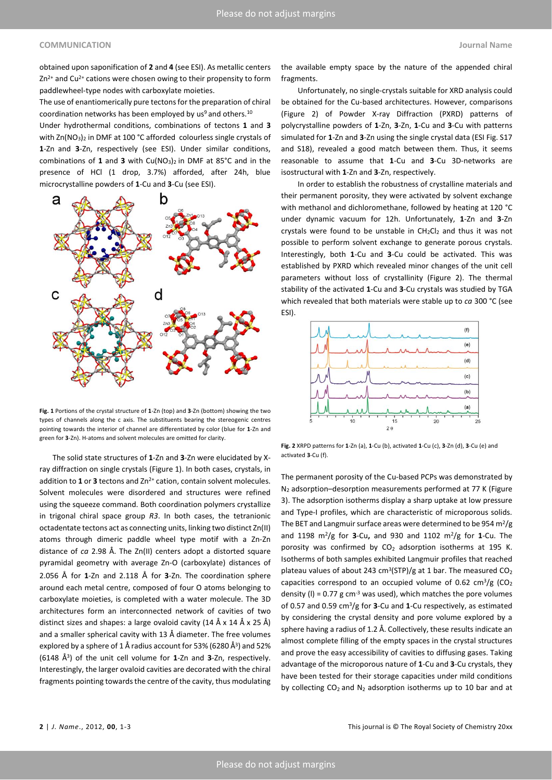#### **COMMUNICATION Journal Name**

obtained upon saponification of **2** and **4** (see ESI). As metallic centers Zn<sup>2+</sup> and Cu<sup>2+</sup> cations were chosen owing to their propensity to form paddlewheel-type nodes with carboxylate moieties.

The use of enantiomerically pure tectons for the preparation of chiral coordination networks has been employed by us<sup>9</sup> and others. $^{10}$ 

Under hydrothermal conditions, combinations of tectons **1** and **3** with  $Zn(NO<sub>3</sub>)<sub>2</sub>$  in DMF at 100 °C afforded colourless single crystals of **1**-Zn and **3**-Zn, respectively (see ESI). Under similar conditions, combinations of 1 and 3 with Cu(NO<sub>3</sub>)<sub>2</sub> in DMF at 85°C and in the presence of HCl (1 drop, 3.7%) afforded, after 24h, blue microcrystalline powders of **1**-Cu and **3**-Cu (see ESI).



**Fig. 1** Portions of the crystal structure of **1**-Zn (top) and **3**-Zn (bottom) showing the two types of channels along the c axis. The substituents bearing the stereogenic centres pointing towards the interior of channel are differentiated by color (blue for **1**-Zn and green for **3**-Zn). H-atoms and solvent molecules are omitted for clarity.

The solid state structures of **1**-Zn and **3**-Zn were elucidated by Xray diffraction on single crystals (Figure 1). In both cases, crystals, in addition to 1 or 3 tectons and Zn<sup>2+</sup> cation, contain solvent molecules. Solvent molecules were disordered and structures were refined using the squeeze command. Both coordination polymers crystallize in trigonal chiral space group *R3*. In both cases, the tetranionic octadentate tectons act as connecting units, linking two distinct Zn(II) atoms through dimeric paddle wheel type motif with a Zn-Zn distance of *ca* 2.98 Å. The Zn(II) centers adopt a distorted square pyramidal geometry with average Zn-O (carboxylate) distances of 2.056 Å for **1**-Zn and 2.118 Å for **3**-Zn. The coordination sphere around each metal centre, composed of four O atoms belonging to carboxylate moieties, is completed with a water molecule. The 3D architectures form an interconnected network of cavities of two distinct sizes and shapes: a large ovaloid cavity (14 Å x 14 Å x 25 Å) and a smaller spherical cavity with 13 Å diameter. The free volumes explored by a sphere of 1 Å radius account for 53% (6280 Å<sup>3</sup> ) and 52% (6148 Å<sup>3</sup> ) of the unit cell volume for **1**-Zn and **3**-Zn, respectively. Interestingly, the larger ovaloid cavities are decorated with the chiral fragments pointing towards the centre of the cavity, thus modulating

the available empty space by the nature of the appended chiral fragments.

Unfortunately, no single-crystals suitable for XRD analysis could be obtained for the Cu-based architectures. However, comparisons (Figure 2) of Powder X-ray Diffraction (PXRD) patterns of polycrystalline powders of **1**-Zn, **3**-Zn, **1**-Cu and **3**-Cu with patterns simulated for **1**-Zn and **3**-Zn using the single crystal data (ESI Fig. S17 and S18), revealed a good match between them. Thus, it seems reasonable to assume that **1**-Cu and **3**-Cu 3D-networks are isostructural with **1**-Zn and **3**-Zn, respectively.

In order to establish the robustness of crystalline materials and their permanent porosity, they were activated by solvent exchange with methanol and dichloromethane, followed by heating at 120 °C under dynamic vacuum for 12h. Unfortunately, **1**-Zn and **3**-Zn crystals were found to be unstable in  $CH_2Cl_2$  and thus it was not possible to perform solvent exchange to generate porous crystals. Interestingly, both **1**-Cu and **3**-Cu could be activated. This was established by PXRD which revealed minor changes of the unit cell parameters without loss of crystallinity (Figure 2). The thermal stability of the activated **1**-Cu and **3**-Cu crystals was studied by TGA which revealed that both materials were stable up to *ca* 300 °C (see ESI).



**Fig. 2** XRPD patterns for **1**-Zn (a), **1**-Cu (b), activated **1**-Cu (c), **3**-Zn (d), **3**-Cu (e) and activated **3**-Cu (f).

The permanent porosity of the Cu-based PCPs was demonstrated by N<sup>2</sup> adsorption–desorption measurements performed at 77 K (Figure 3). The adsorption isotherms display a sharp uptake at low pressure and Type-I profiles, which are characteristic of microporous solids. The BET and Langmuir surface areas were determined to be 954 $\mathrm{m}^2/\mathrm{g}$ and 1198 m<sup>2</sup>/g for **3**-Cu**,** and 930 and 1102 m<sup>2</sup>/g for **1**-Cu. The porosity was confirmed by CO<sub>2</sub> adsorption isotherms at 195 K. Isotherms of both samples exhibited Langmuir profiles that reached plateau values of about 243 cm<sup>3</sup>(STP)/g at 1 bar. The measured  $CO<sub>2</sub>$ capacities correspond to an occupied volume of 0.62  $\text{cm}^3/\text{g}$  (CO<sub>2</sub>) density (I) =  $0.77$  g cm<sup>-3</sup> was used), which matches the pore volumes of 0.57 and 0.59 cm<sup>3</sup>/g for **3**-Cu and **1**-Cu respectively, as estimated by considering the crystal density and pore volume explored by a sphere having a radius of 1.2 Å. Collectively, these results indicate an almost complete filling of the empty spaces in the crystal structures and prove the easy accessibility of cavities to diffusing gases. Taking advantage of the microporous nature of **1**-Cu and **3**-Cu crystals, they have been tested for their storage capacities under mild conditions by collecting  $CO_2$  and  $N_2$  adsorption isotherms up to 10 bar and at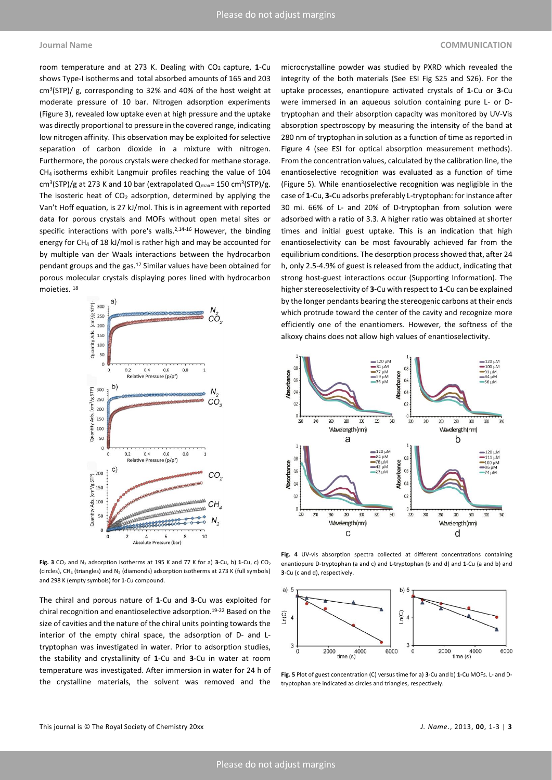room temperature and at 273 K. Dealing with CO2 capture, **1**-Cu shows Type-I isotherms and total absorbed amounts of 165 and 203 cm<sup>3</sup> (STP)/ g, corresponding to 32% and 40% of the host weight at moderate pressure of 10 bar. Nitrogen adsorption experiments (Figure 3), revealed low uptake even at high pressure and the uptake was directly proportional to pressure in the covered range, indicating low nitrogen affinity. This observation may be exploited for selective separation of carbon dioxide in a mixture with nitrogen. Furthermore, the porous crystals were checked for methane storage. CH4 isotherms exhibit Langmuir profiles reaching the value of 104  $\text{cm}^3\text{(STP)/g}$  at 273 K and 10 bar (extrapolated  $\text{Q}_{\text{max}}$ = 150 cm $^3\text{(STP)/g}$ . The isosteric heat of  $CO<sub>2</sub>$  adsorption, determined by applying the Van't Hoff equation, is 27 kJ/mol. This is in agreement with reported data for porous crystals and MOFs without open metal sites or specific interactions with pore's walls.<sup>2,14-16</sup> However, the binding energy for CH<sup>4</sup> of 18 kJ/mol is rather high and may be accounted for by multiple van der Waals interactions between the hydrocarbon pendant groups and the gas.<sup>17</sup> Similar values have been obtained for porous molecular crystals displaying pores lined with hydrocarbon moieties. <sup>18</sup>



**Fig. 3** CO<sub>2</sub> and N<sub>2</sub> adsorption isotherms at 195 K and 77 K for a) **3**-Cu, b) **1**-Cu, c) CO<sub>2</sub> (circles), CH<sub>4</sub> (triangles) and N<sub>2</sub> (diamonds) adsorption isotherms at 273 K (full symbols) and 298 K (empty symbols) for **1**-Cu compound.

The chiral and porous nature of **1**-Cu and **3**-Cu was exploited for chiral recognition and enantioselective adsorption.19-22 Based on the size of cavities and the nature of the chiral units pointing towards the interior of the empty chiral space, the adsorption of D- and Ltryptophan was investigated in water. Prior to adsorption studies, the stability and crystallinity of **1**-Cu and **3**-Cu in water at room temperature was investigated. After immersion in water for 24 h of the crystalline materials, the solvent was removed and the

## microcrystalline powder was studied by PXRD which revealed the integrity of the both materials (See ESI Fig S25 and S26). For the uptake processes, enantiopure activated crystals of **1**-Cu or **3**-Cu were immersed in an aqueous solution containing pure L- or Dtryptophan and their absorption capacity was monitored by UV-Vis absorption spectroscopy by measuring the intensity of the band at 280 nm of tryptophan in solution as a function of time as reported in Figure 4 (see ESI for optical absorption measurement methods). From the concentration values, calculated by the calibration line, the enantioselective recognition was evaluated as a function of time (Figure 5)*.* While enantioselective recognition was negligible in the case of **1**-Cu, **3-**Cu adsorbs preferably L-tryptophan: for instance after 30 mi. 66% of L- and 20% of D-tryptophan from solution were adsorbed with a ratio of 3.3. A higher ratio was obtained at shorter times and initial guest uptake. This is an indication that high enantioselectivity can be most favourably achieved far from the equilibrium conditions. The desorption process showed that, after 24 h, only 2.5-4.9% of guest is released from the adduct, indicating that strong host-guest interactions occur (Supporting Information). The higher stereoselectivity of **3-**Cu with respect to **1-**Cu can be explained by the longer pendants bearing the stereogenic carbons at their ends which protrude toward the center of the cavity and recognize more efficiently one of the enantiomers. However, the softness of the alkoxy chains does not allow high values of enantioselectivity.



**Fig. 4** UV-vis absorption spectra collected at different concentrations containing enantiopure D-tryptophan (a and c) and L-tryptophan (b and d) and **1**-Cu (a and b) and **3**-Cu (c and d), respectively.



**Fig. 5** Plot of guest concentration (C) versus time for a) **3**-Cu and b) **1**-Cu MOFs. L- and Dtryptophan are indicated as circles and triangles, respectively.

# **Journal Name COMMUNICATION**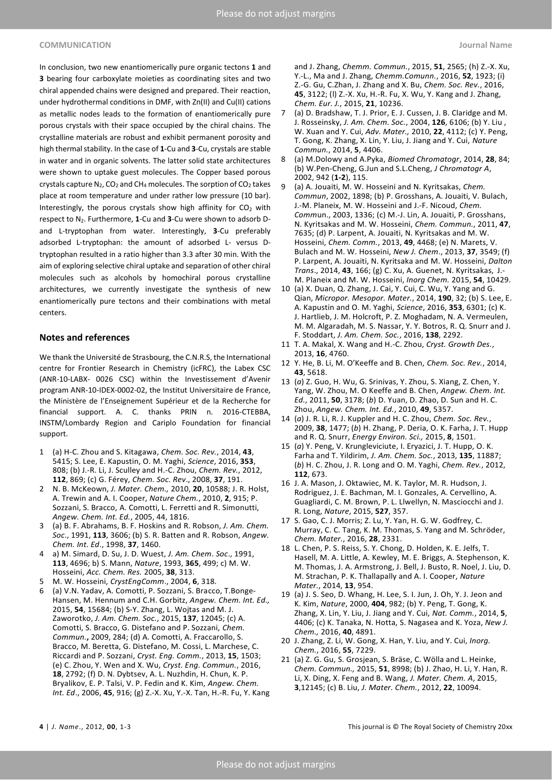#### **COMMUNICATION Journal Name**

In conclusion, two new enantiomerically pure organic tectons **1** and **3** bearing four carboxylate moieties as coordinating sites and two chiral appended chains were designed and prepared. Their reaction, under hydrothermal conditions in DMF, with Zn(II) and Cu(II) cations as metallic nodes leads to the formation of enantiomerically pure porous crystals with their space occupied by the chiral chains. The crystalline materials are robust and exhibit permanent porosity and high thermal stability. In the case of **1**-Cu and **3**-Cu, crystals are stable in water and in organic solvents. The latter solid state architectures were shown to uptake guest molecules. The Copper based porous crystals capture  $N_2$ , CO<sub>2</sub> and CH<sub>4</sub> molecules. The sorption of CO<sub>2</sub> takes place at room temperature and under rather low pressure (10 bar). Interestingly, the porous crystals show high affinity for  $CO<sub>2</sub>$  with respect to N2. Furthermore, **1**-Cu and **3**-Cu were shown to adsorb Dand L-tryptophan from water. Interestingly, **3**-Cu preferably adsorbed L-tryptophan: the amount of adsorbed L- versus Dtryptophan resulted in a ratio higher than 3.3 after 30 min. With the aim of exploring selective chiral uptake and separation of other chiral molecules such as alcohols by homochiral porous crystalline architectures, we currently investigate the synthesis of new enantiomerically pure tectons and their combinations with metal centers.

#### **Notes and references**

We thank the Université de Strasbourg, the C.N.R.S, the International centre for Frontier Research in Chemistry (icFRC), the Labex CSC (ANR-10-LABX- 0026 CSC) within the Investissement d'Avenir program ANR-10-IDEX-0002-02, the Institut Universitaire de France, the Ministère de l'Enseignement Supérieur et de la Recherche for financial support. A. C. thanks PRIN n. 2016-CTEBBA, INSTM/Lombardy Region and Cariplo Foundation for financial support.

- 1 (a) H-C. Zhou and S. Kitagawa, *Chem. Soc. Rev.*, 2014, **43**, 5415; S. Lee, E. Kapustin, O. M. Yaghi, *Science*, 2016, **353**, 808; (b) J.-R. Li, J. Sculley and H.-C. Zhou, *Chem. Rev.*, 2012, **112**, 869; (c) G. Férey, *Chem. Soc. Rev*., 2008, **37**, 191.
- 2 N. B. McKeown, *J. Mater. Chem.,* 2010, **20**, 10588; [J. R. Holst,](http://www.nature.com/nchem/journal/v2/n11/abs/nchem.873.html#auth-1) [A. Trewin](http://www.nature.com/nchem/journal/v2/n11/abs/nchem.873.html#auth-2) and [A. I. Cooper,](http://www.nature.com/nchem/journal/v2/n11/abs/nchem.873.html#auth-3) *Nature Chem.*, 2010, **2**, 915; P. Sozzani, S. Bracco, A. Comotti, L. Ferretti and R. Simonutti, *Angew. Chem. Int. Ed.*, 2005, 44, 1816.
- 3 (a) B. F. Abrahams, B. F. Hoskins and R. Robson, *J. Am. Chem. Soc*., 1991, **113**, 3606; (b) S. R. Batten and R. Robson, *Angew. Chem. Int. Ed*., 1998, **37**, 1460.
- 4 a) M. Simard, D. Su, J. D. Wuest, *J. Am. Chem*. *Soc*., 1991, **113**, 4696; b) S. Mann, *Nature*, 1993, **365**, 499; c) M. W. Hosseini, *Acc. Chem. Res.* 2005, **38**, 313.
- 5 M. W. Hosseini, *CrystEngComm*., 2004, **6**, 318.
- (a) V.N. Yadav, A. Comotti, P. Sozzani, S. Bracco, T.Bonge-Hansen, M. Hennum and C.H. Gorbitz, *Angew. Chem. Int. Ed.,* 2015, **54**, 15684; (b) S-Y. Zhang, L. Wojtas and M. J. Zaworotko, *J. Am. Chem. Soc.*, 2015, **137**, 12045; (c) A. Comotti, S. Bracco, G. Distefano and P. Sozzani, *Chem. Commun.***,** 2009, 284; (d) A. Comotti, A. Fraccarollo, S. Bracco, M. Beretta, G. Distefano, M. Cossi, L. Marchese, C. Riccardi and P. Sozzani, *Cryst. Eng. Comm.*, 2013, **15**, 1503; (e) C. Zhou, Y. Wen and X. Wu, *Cryst. Eng. Commun.*, 2016, **18**, 2792; (f) D. N. Dybtsev, A. L. Nuzhdin, H. Chun, K. P. Bryalikov, E. P. Talsi, V. P. Fedin and K. Kim, *Angew. Chem. Int. Ed*., 2006, **45**, 916; (g) Z.-X. Xu, Y.-X. Tan, H.-R. Fu, Y. Kang

and J. Zhang, *Chemm. Commun.*, 2015, **51**, 2565; (h) Z.-X. Xu, Y.-L., Ma and J. Zhang, *Chemm.Comunn.*, 2016, **52**, 1923; (i) Z.-G. Gu, C.Zhan, J. Zhang and X. Bu, *Chem. Soc. Rev.*, 2016, **45**, 3122; (l) Z.-X. Xu, H.-R. Fu, X. Wu, Y. Kang and J. Zhang, *Chem. Eur. J.*, 2015, **21**, 10236.

- (a) D. Bradshaw, T. J. Prior, E. J. Cussen, J. B. Claridge and M. J. Rosseinsky, *J. Am. Chem. Soc.*, 2004, **126**, 6106; (b) Y. Liu , W. Xuan and Y. Cui, *Adv. Mater.,* 2010, **22**, 4112; (c) Y. Peng, T. Gong, K. Zhang, X. Lin, Y. Liu, J. Jiang and Y. Cui, *Nature Commun.*, 2014, **5**, 4406.
- 8 (a) M.Dolowy and A.Pyka, *Biomed Chromatogr*, 2014, **28**, 84; (b) W.Pen-Cheng, G.Jun and S.L.Cheng, *J Chromatogr A*, 2002, 942 (**1-2**), 115.
- 9 (a) A. Jouaiti, M. W. Hosseini and N. Kyritsakas, *Chem. Commun*, 2002, 1898; (b) P. Grosshans, A. Jouaiti, V. Bulach, J.-M. Planeix, M. W. Hosseini and J.-F. Nicoud, *Chem. Comm*un., 2003, 1336; (c) M.-J. Lin, A. Jouaiti, P. Grosshans, N. Kyritsakas and M. W. Hosseini, *Chem. Commun.*, 2011, **47**, 7635; (d) P. Larpent, A. Jouaiti, N. Kyritsakas and M. W. Hosseini, *Chem. Comm.*, 2013, **49**, 4468; (e) N. Marets, V. Bulach and M. W. Hosseini, *New J. Chem*., 2013, **37**, 3549; (f) P. Larpent, A. Jouaiti, N. Kyritsaka and M. W. Hosseini, *Dalton Trans*., 2014, **43**, 166; (g) C. Xu, A. Guenet, N. Kyritsakas, J.- M. Planeix and M. W. Hosseini, *Inorg Chem.* 2015, **54**, 10429.
- 10 (a) X. Duan, Q. Zhang, J. Cai, Y. Cui, C. Wu, Y. Yang and G. Qian, *Micropor. Mesopor. Mater.*, 2014, **190**, 32; (b) S. Lee, E. A. Kapustin and O. M. Yaghi, *Science*, 2016, **353**, 6301; (c) K. J. Hartlieb, J. M. Holcroft, P. Z. Moghadam, N. A. Vermeulen, M. M. Algaradah, M. S. Nassar, Y. Y. Botros, R. Q. Snurr and J. F. Stoddart, *J. Am. Chem. Soc.*, 2016, **138**, 2292.
- 11 T. A. Makal, X. Wang and H.-C. Zhou, *Cryst. Growth Des.*, 2013, **16**, 4760.
- 12 Y. He, B. Li, M. O'Keeffe and B. Chen, *Chem. Soc. Rev.*, 2014, **43**, 5618.
- 13 (*a*) Z. Guo, H. Wu, G. Srinivas, Y. Zhou, S. Xiang, Z. Chen, Y. Yang, W. Zhou, M. O Keeffe and B. Chen, *Angew. Chem. Int. Ed.*, 2011, **50**, 3178; (*b*) D. Yuan, D. Zhao, D. Sun and H. C. Zhou, *Angew. Chem. Int. Ed.*, 2010, **49**, 5357.
- 14 (*a*) J. R. Li, R. J. Kuppler and H. C. Zhou, *Chem. Soc. Rev.*, 2009, **38**, 1477; (*b*) H. Zhang, P. Deria, O. K. Farha, J. T. Hupp and R. Q. Snurr, *Energy Environ. Sci.,* 2015, **8**, 1501.
- 15 (*a*) Y. Peng, V. Krungleviciute, I. Eryazici, J. T. Hupp, O. K. Farha and T. Yildirim, *J. Am. Chem. Soc.*, 2013, **135**, 11887; (*b*) H. C. Zhou, J. R. Long and O. M. Yaghi, *Chem. Rev.*, 2012, **112**, 673.
- 16 J. A. Mason, J. Oktawiec, M. K. Taylor, M. R. Hudson, J. Rodriguez, J. E. Bachman, M. I. Gonzales, A. Cervellino, A. Guagliardi, C. M. Brown, P. L. Llwellyn, N. Masciocchi and J. R. Long, *Nature*, 2015, **527**, 357.
- 17 S. Gao, C. J. Morris; Z. Lu, Y. Yan, H. G. W. Godfrey, C. Murray, C. C. Tang, K. M. Thomas, S. Yang and M. Schröder, *Chem. Mater.*, 2016, **28**, 2331.
- 18 L. Chen, P. S. Reiss, S. Y. Chong, D. Holden, K. E. Jelfs, T. Hasell, M. A. Little, A. Kewley, M. E. Briggs, A. Stephenson, K. M. Thomas, J. A. Armstrong, J. Bell, J. Busto, R. Noel, J. Liu, D. M. Strachan, P. K. Thallapally and A. I. Cooper, *Nature Mater.*, 2014, **13**, 954.
- 19 (a) J. S. Seo, D. Whang, H. Lee, S. I. Jun, J. Oh, Y. J. Jeon and K. Kim, *Nature*, 2000, **404**, 982; (b) Y. Peng, T. Gong, K. Zhang, X. Lin, Y. Liu, J. Jiang and Y. Cui, *Nat. Comm.*, 2014, **5**, 4406; (c) K. Tanaka, N. Hotta, S. Nagasea and K. Yoza, *New J. Chem.,* 2016, **40**, 4891.
- 20 J. Zhang, Z. Li, W. Gong, X. Han, Y. Liu, and Y. Cui, *Inorg. Chem.*, 2016, **55**, 7229.
- 21 (a) Z. G. Gu, S. Grosjean, S. Bräse, C. Wölla and L. Heinke, *Chem. Commun.,* 2015, **51**, 8998; (b) J. Zhao, H. Li, Y. Han, R. Li, X. Ding, X. Feng and B. Wang, *J. Mater. Chem. A*, 2015, **3**,12145; (c) B. Liu, *J. Mater. Chem.*, 2012, **22**, 10094.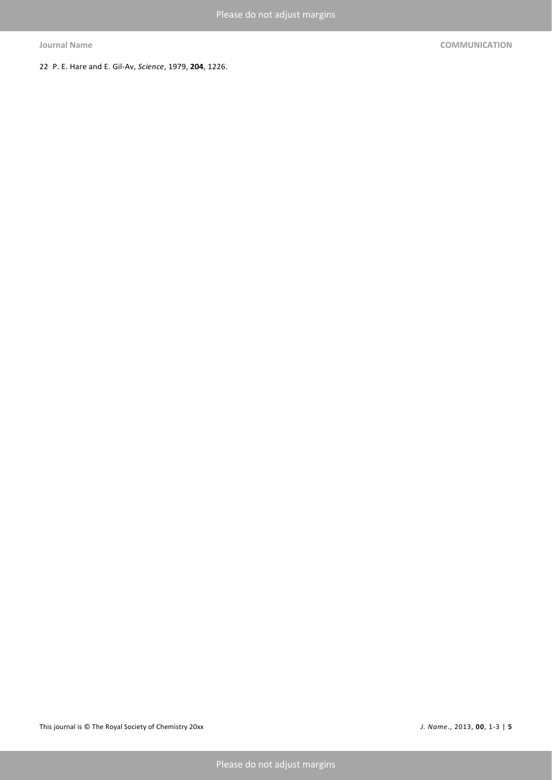22 P. E. Hare and E. Gil-Av, *Science*, 1979, **204**, 1226.